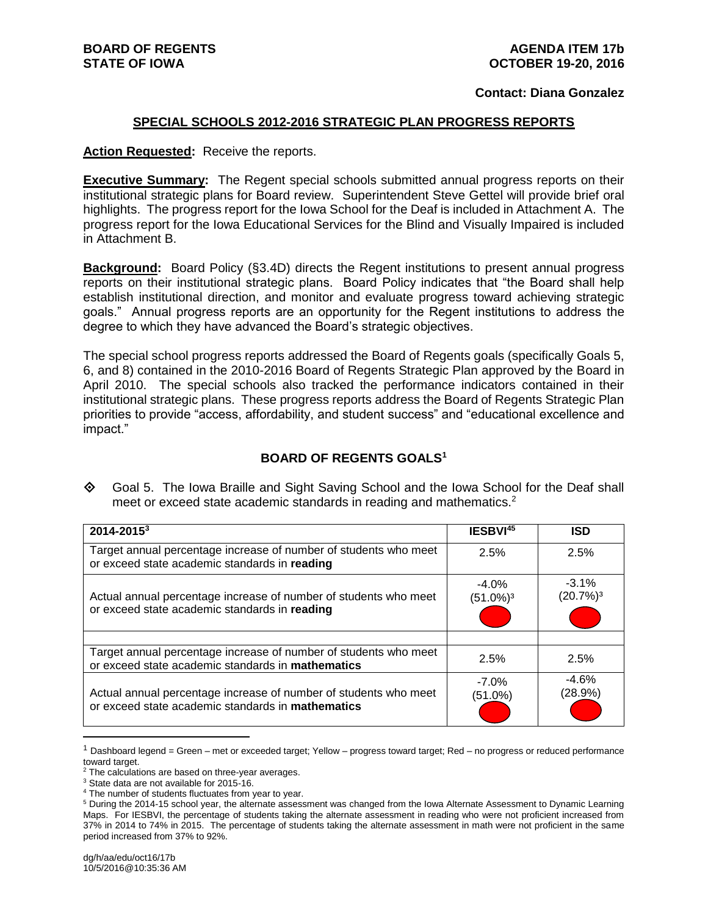#### **Contact: Diana Gonzalez**

#### **SPECIAL SCHOOLS 2012-2016 STRATEGIC PLAN PROGRESS REPORTS**

#### **Action Requested:** Receive the reports.

**Executive Summary:** The Regent special schools submitted annual progress reports on their institutional strategic plans for Board review. Superintendent Steve Gettel will provide brief oral highlights. The progress report for the Iowa School for the Deaf is included in Attachment A. The progress report for the Iowa Educational Services for the Blind and Visually Impaired is included in Attachment B.

**Background:** Board Policy (§3.4D) directs the Regent institutions to present annual progress reports on their institutional strategic plans. Board Policy indicates that "the Board shall help establish institutional direction, and monitor and evaluate progress toward achieving strategic goals." Annual progress reports are an opportunity for the Regent institutions to address the degree to which they have advanced the Board's strategic objectives.

The special school progress reports addressed the Board of Regents goals (specifically Goals 5, 6, and 8) contained in the 2010-2016 Board of Regents Strategic Plan approved by the Board in April 2010. The special schools also tracked the performance indicators contained in their institutional strategic plans. These progress reports address the Board of Regents Strategic Plan priorities to provide "access, affordability, and student success" and "educational excellence and impact."

#### **BOARD OF REGENTS GOALS<sup>1</sup>**

◆ Goal 5. The Iowa Braille and Sight Saving School and the Iowa School for the Deaf shall meet or exceed state academic standards in reading and mathematics.<sup>2</sup>

| 2014-20153                                                                                                            | IESBVI45                            | <b>ISD</b>                       |
|-----------------------------------------------------------------------------------------------------------------------|-------------------------------------|----------------------------------|
| Target annual percentage increase of number of students who meet<br>or exceed state academic standards in reading     | 2.5%                                | 2.5%                             |
| Actual annual percentage increase of number of students who meet<br>or exceed state academic standards in reading     | $-4.0\%$<br>$(51.0\%)$ <sup>3</sup> | $-3.1\%$<br>(20.7%) <sup>3</sup> |
| Target annual percentage increase of number of students who meet<br>or exceed state academic standards in mathematics | 2.5%                                | 2.5%                             |
| Actual annual percentage increase of number of students who meet<br>or exceed state academic standards in mathematics | $-7.0\%$<br>(51.0%)                 | $-4.6%$<br>(28.9%)               |

 $1$  Dashboard legend = Green – met or exceeded target; Yellow – progress toward target; Red – no progress or reduced performance toward target.

 $\overline{a}$ 

<sup>&</sup>lt;sup>2</sup> The calculations are based on three-year averages.

<sup>3</sup> State data are not available for 2015-16.

<sup>4</sup> The number of students fluctuates from year to year.

<sup>5</sup> During the 2014-15 school year, the alternate assessment was changed from the Iowa Alternate Assessment to Dynamic Learning Maps. For IESBVI, the percentage of students taking the alternate assessment in reading who were not proficient increased from 37% in 2014 to 74% in 2015. The percentage of students taking the alternate assessment in math were not proficient in the same period increased from 37% to 92%.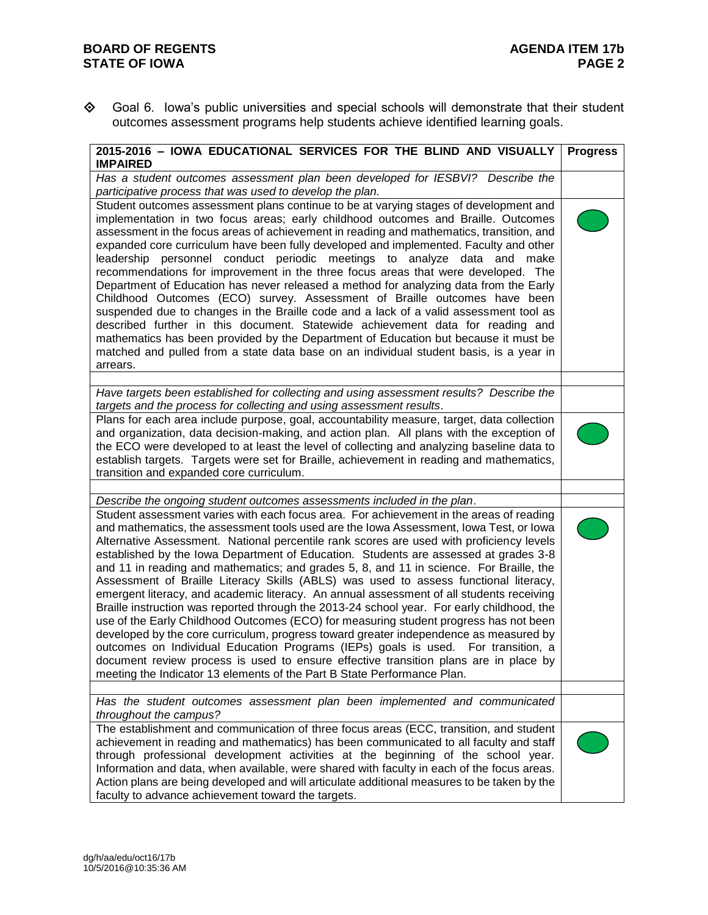### **BOARD OF REGENTS**<br>**STATE OF IOWA AGENDA ITEM 17b STATE OF IOWA**

 Goal 6. Iowa's public universities and special schools will demonstrate that their student outcomes assessment programs help students achieve identified learning goals.

| 2015-2016 - IOWA EDUCATIONAL SERVICES FOR THE BLIND AND VISUALLY<br><b>IMPAIRED</b>                                                                                                                                                                                                                                                                                                                                                                                                                                                                                                                                                                                                                                                                                                                                                                                                                                                                                                                                                                                                                                                                                                          | <b>Progress</b> |
|----------------------------------------------------------------------------------------------------------------------------------------------------------------------------------------------------------------------------------------------------------------------------------------------------------------------------------------------------------------------------------------------------------------------------------------------------------------------------------------------------------------------------------------------------------------------------------------------------------------------------------------------------------------------------------------------------------------------------------------------------------------------------------------------------------------------------------------------------------------------------------------------------------------------------------------------------------------------------------------------------------------------------------------------------------------------------------------------------------------------------------------------------------------------------------------------|-----------------|
| Has a student outcomes assessment plan been developed for IESBVI? Describe the<br>participative process that was used to develop the plan.                                                                                                                                                                                                                                                                                                                                                                                                                                                                                                                                                                                                                                                                                                                                                                                                                                                                                                                                                                                                                                                   |                 |
| Student outcomes assessment plans continue to be at varying stages of development and<br>implementation in two focus areas; early childhood outcomes and Braille. Outcomes<br>assessment in the focus areas of achievement in reading and mathematics, transition, and<br>expanded core curriculum have been fully developed and implemented. Faculty and other<br>leadership personnel conduct periodic meetings to analyze data and make<br>recommendations for improvement in the three focus areas that were developed. The<br>Department of Education has never released a method for analyzing data from the Early<br>Childhood Outcomes (ECO) survey. Assessment of Braille outcomes have been<br>suspended due to changes in the Braille code and a lack of a valid assessment tool as<br>described further in this document. Statewide achievement data for reading and<br>mathematics has been provided by the Department of Education but because it must be<br>matched and pulled from a state data base on an individual student basis, is a year in<br>arrears.                                                                                                                |                 |
| Have targets been established for collecting and using assessment results? Describe the                                                                                                                                                                                                                                                                                                                                                                                                                                                                                                                                                                                                                                                                                                                                                                                                                                                                                                                                                                                                                                                                                                      |                 |
| targets and the process for collecting and using assessment results.                                                                                                                                                                                                                                                                                                                                                                                                                                                                                                                                                                                                                                                                                                                                                                                                                                                                                                                                                                                                                                                                                                                         |                 |
| Plans for each area include purpose, goal, accountability measure, target, data collection<br>and organization, data decision-making, and action plan. All plans with the exception of<br>the ECO were developed to at least the level of collecting and analyzing baseline data to<br>establish targets. Targets were set for Braille, achievement in reading and mathematics,<br>transition and expanded core curriculum.                                                                                                                                                                                                                                                                                                                                                                                                                                                                                                                                                                                                                                                                                                                                                                  |                 |
| Describe the ongoing student outcomes assessments included in the plan.                                                                                                                                                                                                                                                                                                                                                                                                                                                                                                                                                                                                                                                                                                                                                                                                                                                                                                                                                                                                                                                                                                                      |                 |
| Student assessment varies with each focus area. For achievement in the areas of reading<br>and mathematics, the assessment tools used are the Iowa Assessment, Iowa Test, or Iowa<br>Alternative Assessment. National percentile rank scores are used with proficiency levels<br>established by the lowa Department of Education. Students are assessed at grades 3-8<br>and 11 in reading and mathematics; and grades 5, 8, and 11 in science. For Braille, the<br>Assessment of Braille Literacy Skills (ABLS) was used to assess functional literacy,<br>emergent literacy, and academic literacy. An annual assessment of all students receiving<br>Braille instruction was reported through the 2013-24 school year. For early childhood, the<br>use of the Early Childhood Outcomes (ECO) for measuring student progress has not been<br>developed by the core curriculum, progress toward greater independence as measured by<br>outcomes on Individual Education Programs (IEPs) goals is used. For transition, a<br>document review process is used to ensure effective transition plans are in place by<br>meeting the Indicator 13 elements of the Part B State Performance Plan. |                 |
|                                                                                                                                                                                                                                                                                                                                                                                                                                                                                                                                                                                                                                                                                                                                                                                                                                                                                                                                                                                                                                                                                                                                                                                              |                 |
| Has the student outcomes assessment plan been implemented and communicated<br>throughout the campus?                                                                                                                                                                                                                                                                                                                                                                                                                                                                                                                                                                                                                                                                                                                                                                                                                                                                                                                                                                                                                                                                                         |                 |
| The establishment and communication of three focus areas (ECC, transition, and student<br>achievement in reading and mathematics) has been communicated to all faculty and staff<br>through professional development activities at the beginning of the school year.<br>Information and data, when available, were shared with faculty in each of the focus areas.<br>Action plans are being developed and will articulate additional measures to be taken by the<br>faculty to advance achievement toward the targets.                                                                                                                                                                                                                                                                                                                                                                                                                                                                                                                                                                                                                                                                      |                 |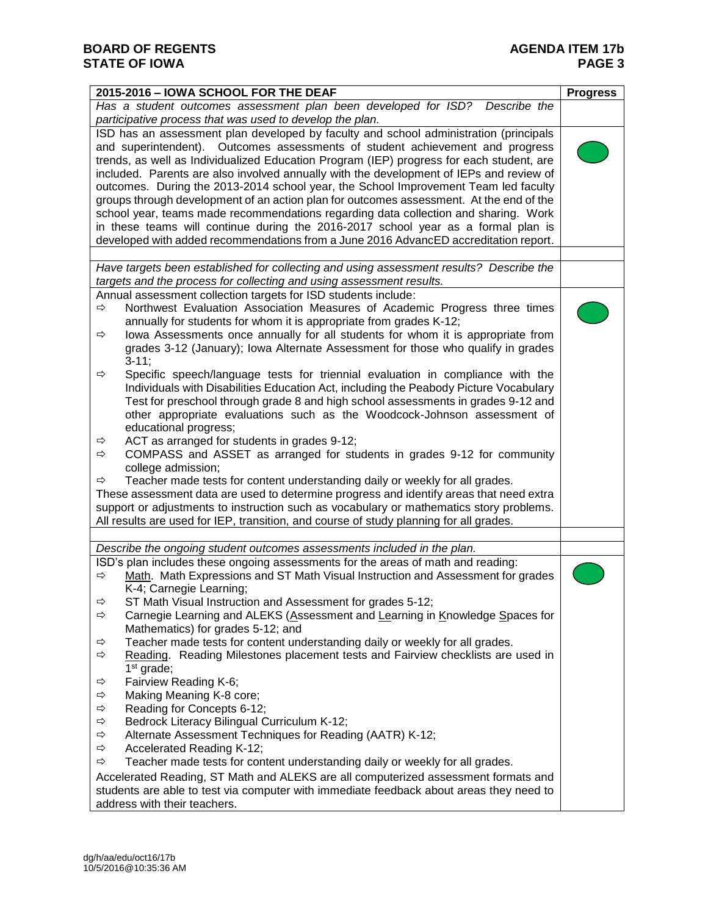| 2015-2016 - IOWA SCHOOL FOR THE DEAF                                                             | <b>Progress</b> |
|--------------------------------------------------------------------------------------------------|-----------------|
| Has a student outcomes assessment plan been developed for ISD?<br>Describe the                   |                 |
| participative process that was used to develop the plan.                                         |                 |
| ISD has an assessment plan developed by faculty and school administration (principals            |                 |
| and superintendent). Outcomes assessments of student achievement and progress                    |                 |
| trends, as well as Individualized Education Program (IEP) progress for each student, are         |                 |
| included. Parents are also involved annually with the development of IEPs and review of          |                 |
| outcomes. During the 2013-2014 school year, the School Improvement Team led faculty              |                 |
| groups through development of an action plan for outcomes assessment. At the end of the          |                 |
| school year, teams made recommendations regarding data collection and sharing. Work              |                 |
| in these teams will continue during the 2016-2017 school year as a formal plan is                |                 |
| developed with added recommendations from a June 2016 AdvancED accreditation report.             |                 |
|                                                                                                  |                 |
| Have targets been established for collecting and using assessment results? Describe the          |                 |
| targets and the process for collecting and using assessment results.                             |                 |
| Annual assessment collection targets for ISD students include:                                   |                 |
| Northwest Evaluation Association Measures of Academic Progress three times<br>$\Rightarrow$      |                 |
| annually for students for whom it is appropriate from grades K-12;                               |                 |
| lowa Assessments once annually for all students for whom it is appropriate from<br>$\Rightarrow$ |                 |
| grades 3-12 (January); lowa Alternate Assessment for those who qualify in grades                 |                 |
| $3-11;$                                                                                          |                 |
| Specific speech/language tests for triennial evaluation in compliance with the<br>⇨              |                 |
| Individuals with Disabilities Education Act, including the Peabody Picture Vocabulary            |                 |
| Test for preschool through grade 8 and high school assessments in grades 9-12 and                |                 |
| other appropriate evaluations such as the Woodcock-Johnson assessment of                         |                 |
| educational progress;                                                                            |                 |
| ACT as arranged for students in grades 9-12;<br>⇨                                                |                 |
| COMPASS and ASSET as arranged for students in grades 9-12 for community<br>⇨                     |                 |
| college admission;                                                                               |                 |
| Teacher made tests for content understanding daily or weekly for all grades.<br>⇨                |                 |
| These assessment data are used to determine progress and identify areas that need extra          |                 |
| support or adjustments to instruction such as vocabulary or mathematics story problems.          |                 |
| All results are used for IEP, transition, and course of study planning for all grades.           |                 |
| Describe the ongoing student outcomes assessments included in the plan.                          |                 |
| ISD's plan includes these ongoing assessments for the areas of math and reading:                 |                 |
| Math. Math Expressions and ST Math Visual Instruction and Assessment for grades<br>⇨             |                 |
| K-4; Carnegie Learning;                                                                          |                 |
| ST Math Visual Instruction and Assessment for grades 5-12;<br>⇨                                  |                 |
| Carnegie Learning and ALEKS (Assessment and Learning in Knowledge Spaces for<br>⇨                |                 |
| Mathematics) for grades 5-12; and                                                                |                 |
| Teacher made tests for content understanding daily or weekly for all grades.<br>$\Rightarrow$    |                 |
| Reading. Reading Milestones placement tests and Fairview checklists are used in<br>⇨             |                 |
| $1st$ grade;                                                                                     |                 |
| Fairview Reading K-6;<br>⇨                                                                       |                 |
| ⇨<br>Making Meaning K-8 core;                                                                    |                 |
| $\Rightarrow$<br>Reading for Concepts 6-12;                                                      |                 |
| ⇨<br>Bedrock Literacy Bilingual Curriculum K-12;                                                 |                 |
| ⇨<br>Alternate Assessment Techniques for Reading (AATR) K-12;                                    |                 |
| $\Rightarrow$<br>Accelerated Reading K-12;                                                       |                 |
| Teacher made tests for content understanding daily or weekly for all grades.<br>$\Rightarrow$    |                 |
| Accelerated Reading, ST Math and ALEKS are all computerized assessment formats and               |                 |
| students are able to test via computer with immediate feedback about areas they need to          |                 |
| address with their teachers.                                                                     |                 |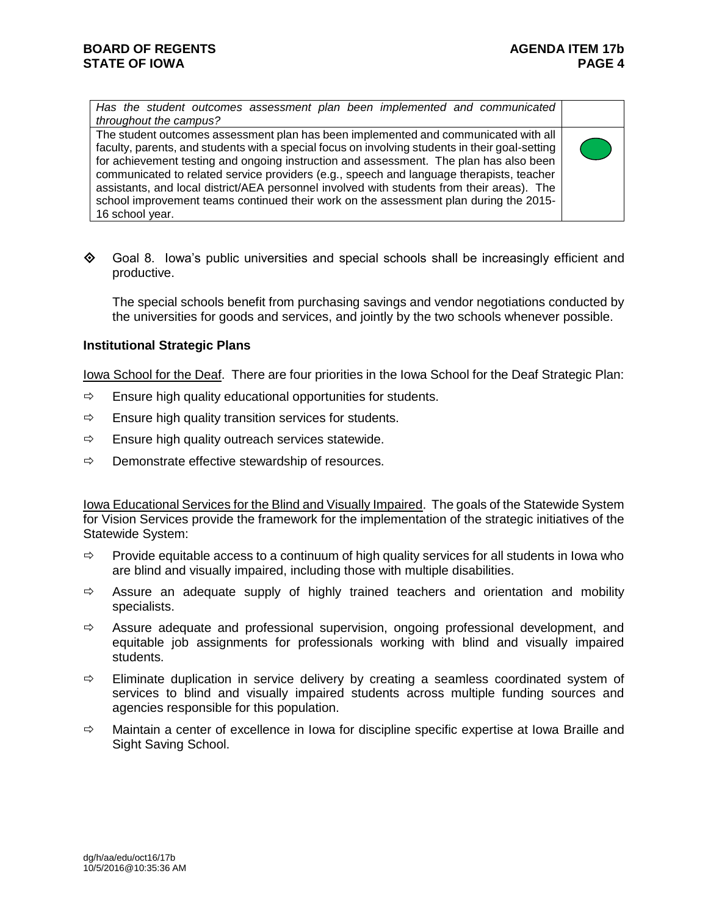*Has the student outcomes assessment plan been implemented and communicated throughout the campus?*

The student outcomes assessment plan has been implemented and communicated with all faculty, parents, and students with a special focus on involving students in their goal-setting for achievement testing and ongoing instruction and assessment. The plan has also been communicated to related service providers (e.g., speech and language therapists, teacher assistants, and local district/AEA personnel involved with students from their areas). The school improvement teams continued their work on the assessment plan during the 2015- 16 school year.

 $\diamond$  Goal 8. Iowa's public universities and special schools shall be increasingly efficient and productive.

The special schools benefit from purchasing savings and vendor negotiations conducted by the universities for goods and services, and jointly by the two schools whenever possible.

### **Institutional Strategic Plans**

Iowa School for the Deaf. There are four priorities in the Iowa School for the Deaf Strategic Plan:

- $\Rightarrow$  Ensure high quality educational opportunities for students.
- $\Rightarrow$  Ensure high quality transition services for students.
- $\Rightarrow$  Ensure high quality outreach services statewide.
- $\Rightarrow$  Demonstrate effective stewardship of resources.

Iowa Educational Services for the Blind and Visually Impaired. The goals of the Statewide System for Vision Services provide the framework for the implementation of the strategic initiatives of the Statewide System:

- $\Rightarrow$  Provide equitable access to a continuum of high quality services for all students in Iowa who are blind and visually impaired, including those with multiple disabilities.
- $\Rightarrow$  Assure an adequate supply of highly trained teachers and orientation and mobility specialists.
- $\Rightarrow$  Assure adequate and professional supervision, ongoing professional development, and equitable job assignments for professionals working with blind and visually impaired students.
- $\Rightarrow$  Eliminate duplication in service delivery by creating a seamless coordinated system of services to blind and visually impaired students across multiple funding sources and agencies responsible for this population.
- $\Rightarrow$  Maintain a center of excellence in Iowa for discipline specific expertise at Iowa Braille and Sight Saving School.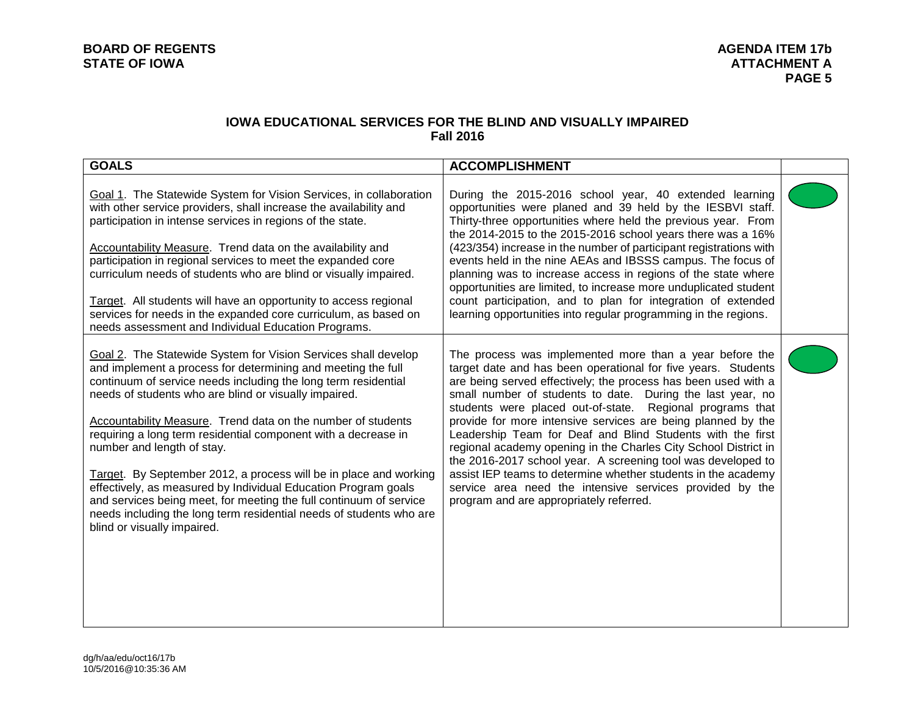### **IOWA EDUCATIONAL SERVICES FOR THE BLIND AND VISUALLY IMPAIRED Fall 2016**

| <b>GOALS</b>                                                                                                                                                                                                                                                                                                                                                                                                                                                                                                                                                                                                                                                                                                                                 | <b>ACCOMPLISHMENT</b>                                                                                                                                                                                                                                                                                                                                                                                                                                                                                                                                                                                                                                                                                                                                          |  |
|----------------------------------------------------------------------------------------------------------------------------------------------------------------------------------------------------------------------------------------------------------------------------------------------------------------------------------------------------------------------------------------------------------------------------------------------------------------------------------------------------------------------------------------------------------------------------------------------------------------------------------------------------------------------------------------------------------------------------------------------|----------------------------------------------------------------------------------------------------------------------------------------------------------------------------------------------------------------------------------------------------------------------------------------------------------------------------------------------------------------------------------------------------------------------------------------------------------------------------------------------------------------------------------------------------------------------------------------------------------------------------------------------------------------------------------------------------------------------------------------------------------------|--|
| Goal 1. The Statewide System for Vision Services, in collaboration<br>with other service providers, shall increase the availability and<br>participation in intense services in regions of the state.<br><b>Accountability Measure.</b> Trend data on the availability and<br>participation in regional services to meet the expanded core<br>curriculum needs of students who are blind or visually impaired.<br>Target. All students will have an opportunity to access regional<br>services for needs in the expanded core curriculum, as based on<br>needs assessment and Individual Education Programs.                                                                                                                                 | During the 2015-2016 school year, 40 extended learning<br>opportunities were planed and 39 held by the IESBVI staff.<br>Thirty-three opportunities where held the previous year. From<br>the 2014-2015 to the 2015-2016 school years there was a 16%<br>(423/354) increase in the number of participant registrations with<br>events held in the nine AEAs and IBSSS campus. The focus of<br>planning was to increase access in regions of the state where<br>opportunities are limited, to increase more unduplicated student<br>count participation, and to plan for integration of extended<br>learning opportunities into regular programming in the regions.                                                                                              |  |
| Goal 2. The Statewide System for Vision Services shall develop<br>and implement a process for determining and meeting the full<br>continuum of service needs including the long term residential<br>needs of students who are blind or visually impaired.<br>Accountability Measure. Trend data on the number of students<br>requiring a long term residential component with a decrease in<br>number and length of stay.<br>Target. By September 2012, a process will be in place and working<br>effectively, as measured by Individual Education Program goals<br>and services being meet, for meeting the full continuum of service<br>needs including the long term residential needs of students who are<br>blind or visually impaired. | The process was implemented more than a year before the<br>target date and has been operational for five years. Students<br>are being served effectively; the process has been used with a<br>small number of students to date. During the last year, no<br>students were placed out-of-state. Regional programs that<br>provide for more intensive services are being planned by the<br>Leadership Team for Deaf and Blind Students with the first<br>regional academy opening in the Charles City School District in<br>the 2016-2017 school year. A screening tool was developed to<br>assist IEP teams to determine whether students in the academy<br>service area need the intensive services provided by the<br>program and are appropriately referred. |  |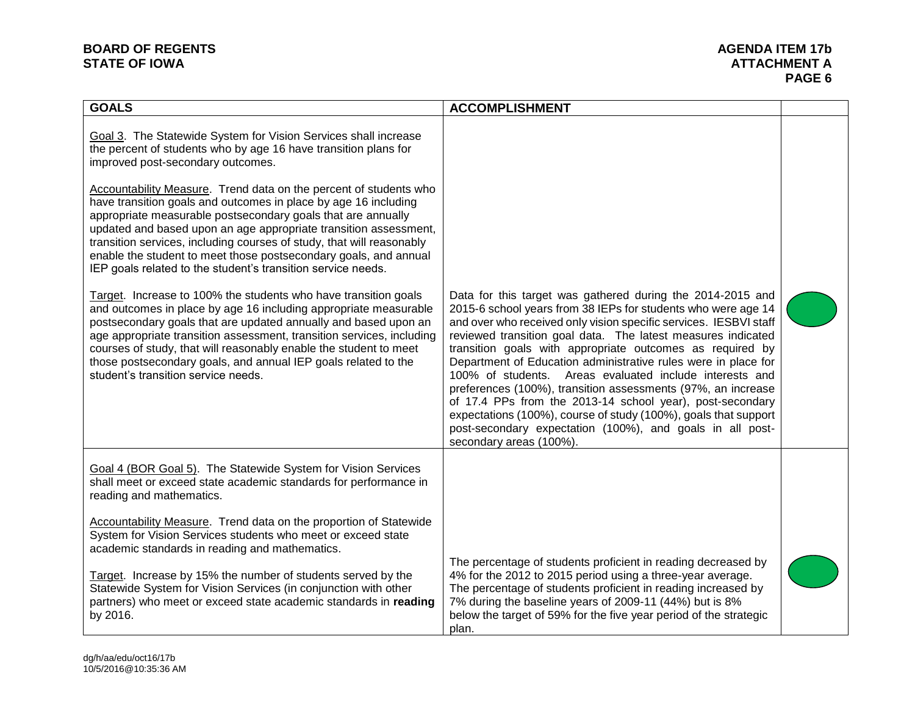# **BOARD OF REGENTS AGENDA ITEM 17b**

## **ATTACHMENT A PAGE 6**

| <b>GOALS</b>                                                                                                                                                                                                                                                                                                                                                                                                                                                                                                                                                                                     | <b>ACCOMPLISHMENT</b>                                                                                                                                                                                                                                                                                                                                                                                                                                                                                                                                                                                                                                                                                                                              |  |
|--------------------------------------------------------------------------------------------------------------------------------------------------------------------------------------------------------------------------------------------------------------------------------------------------------------------------------------------------------------------------------------------------------------------------------------------------------------------------------------------------------------------------------------------------------------------------------------------------|----------------------------------------------------------------------------------------------------------------------------------------------------------------------------------------------------------------------------------------------------------------------------------------------------------------------------------------------------------------------------------------------------------------------------------------------------------------------------------------------------------------------------------------------------------------------------------------------------------------------------------------------------------------------------------------------------------------------------------------------------|--|
| Goal 3. The Statewide System for Vision Services shall increase<br>the percent of students who by age 16 have transition plans for<br>improved post-secondary outcomes.<br>Accountability Measure. Trend data on the percent of students who<br>have transition goals and outcomes in place by age 16 including<br>appropriate measurable postsecondary goals that are annually<br>updated and based upon an age appropriate transition assessment,<br>transition services, including courses of study, that will reasonably<br>enable the student to meet those postsecondary goals, and annual |                                                                                                                                                                                                                                                                                                                                                                                                                                                                                                                                                                                                                                                                                                                                                    |  |
| IEP goals related to the student's transition service needs.<br>Target. Increase to 100% the students who have transition goals<br>and outcomes in place by age 16 including appropriate measurable<br>postsecondary goals that are updated annually and based upon an<br>age appropriate transition assessment, transition services, including<br>courses of study, that will reasonably enable the student to meet<br>those postsecondary goals, and annual IEP goals related to the<br>student's transition service needs.                                                                    | Data for this target was gathered during the 2014-2015 and<br>2015-6 school years from 38 IEPs for students who were age 14<br>and over who received only vision specific services. IESBVI staff<br>reviewed transition goal data. The latest measures indicated<br>transition goals with appropriate outcomes as required by<br>Department of Education administrative rules were in place for<br>100% of students. Areas evaluated include interests and<br>preferences (100%), transition assessments (97%, an increase<br>of 17.4 PPs from the 2013-14 school year), post-secondary<br>expectations (100%), course of study (100%), goals that support<br>post-secondary expectation (100%), and goals in all post-<br>secondary areas (100%). |  |
| Goal 4 (BOR Goal 5). The Statewide System for Vision Services<br>shall meet or exceed state academic standards for performance in<br>reading and mathematics.                                                                                                                                                                                                                                                                                                                                                                                                                                    |                                                                                                                                                                                                                                                                                                                                                                                                                                                                                                                                                                                                                                                                                                                                                    |  |
| <b>Accountability Measure.</b> Trend data on the proportion of Statewide<br>System for Vision Services students who meet or exceed state<br>academic standards in reading and mathematics.<br>Target. Increase by 15% the number of students served by the<br>Statewide System for Vision Services (in conjunction with other<br>partners) who meet or exceed state academic standards in reading<br>by 2016.                                                                                                                                                                                    | The percentage of students proficient in reading decreased by<br>4% for the 2012 to 2015 period using a three-year average.<br>The percentage of students proficient in reading increased by<br>7% during the baseline years of 2009-11 (44%) but is 8%<br>below the target of 59% for the five year period of the strategic<br>plan.                                                                                                                                                                                                                                                                                                                                                                                                              |  |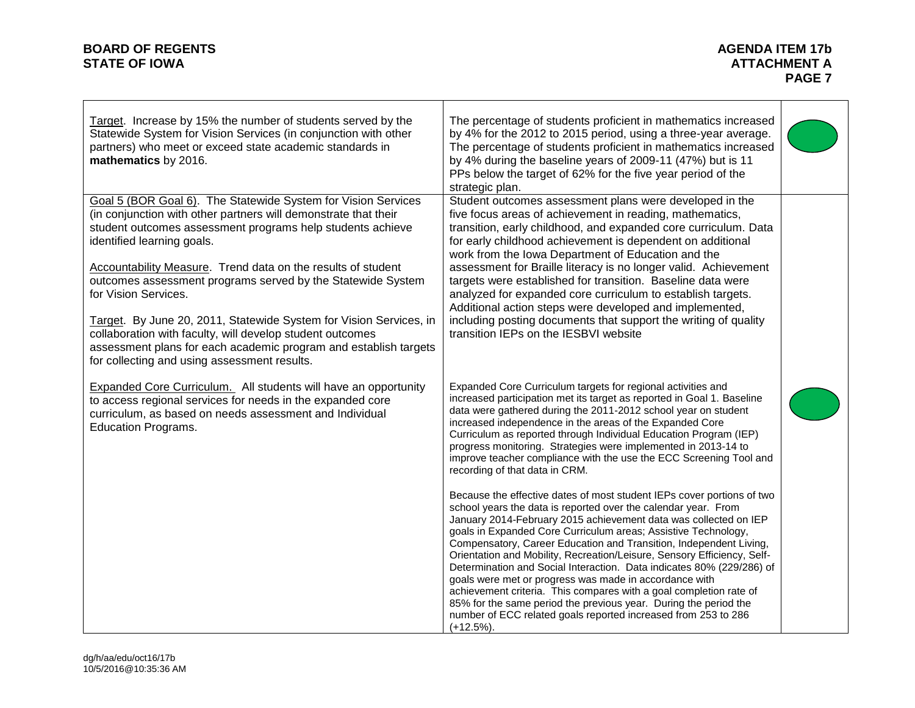# **BOARD OF REGENTS AGENDA ITEM 17b**

| Target. Increase by 15% the number of students served by the<br>Statewide System for Vision Services (in conjunction with other<br>partners) who meet or exceed state academic standards in<br>mathematics by 2016.                                                                                                                                                                                                                                                                                                    | The percentage of students proficient in mathematics increased<br>by 4% for the 2012 to 2015 period, using a three-year average.<br>The percentage of students proficient in mathematics increased<br>by 4% during the baseline years of 2009-11 (47%) but is 11<br>PPs below the target of 62% for the five year period of the<br>strategic plan.                                                                                                                                                                                                                                                                                                                                                                                                                                             |  |
|------------------------------------------------------------------------------------------------------------------------------------------------------------------------------------------------------------------------------------------------------------------------------------------------------------------------------------------------------------------------------------------------------------------------------------------------------------------------------------------------------------------------|------------------------------------------------------------------------------------------------------------------------------------------------------------------------------------------------------------------------------------------------------------------------------------------------------------------------------------------------------------------------------------------------------------------------------------------------------------------------------------------------------------------------------------------------------------------------------------------------------------------------------------------------------------------------------------------------------------------------------------------------------------------------------------------------|--|
| Goal 5 (BOR Goal 6). The Statewide System for Vision Services<br>(in conjunction with other partners will demonstrate that their<br>student outcomes assessment programs help students achieve<br>identified learning goals.<br>Accountability Measure. Trend data on the results of student<br>outcomes assessment programs served by the Statewide System<br>for Vision Services.<br>Target. By June 20, 2011, Statewide System for Vision Services, in<br>collaboration with faculty, will develop student outcomes | Student outcomes assessment plans were developed in the<br>five focus areas of achievement in reading, mathematics,<br>transition, early childhood, and expanded core curriculum. Data<br>for early childhood achievement is dependent on additional<br>work from the Iowa Department of Education and the<br>assessment for Braille literacy is no longer valid. Achievement<br>targets were established for transition. Baseline data were<br>analyzed for expanded core curriculum to establish targets.<br>Additional action steps were developed and implemented,<br>including posting documents that support the writing of quality<br>transition IEPs on the IESBVI website                                                                                                             |  |
| assessment plans for each academic program and establish targets<br>for collecting and using assessment results.                                                                                                                                                                                                                                                                                                                                                                                                       |                                                                                                                                                                                                                                                                                                                                                                                                                                                                                                                                                                                                                                                                                                                                                                                                |  |
| <b>Expanded Core Curriculum.</b> All students will have an opportunity<br>to access regional services for needs in the expanded core<br>curriculum, as based on needs assessment and Individual<br><b>Education Programs.</b>                                                                                                                                                                                                                                                                                          | Expanded Core Curriculum targets for regional activities and<br>increased participation met its target as reported in Goal 1. Baseline<br>data were gathered during the 2011-2012 school year on student<br>increased independence in the areas of the Expanded Core<br>Curriculum as reported through Individual Education Program (IEP)<br>progress monitoring. Strategies were implemented in 2013-14 to<br>improve teacher compliance with the use the ECC Screening Tool and<br>recording of that data in CRM.                                                                                                                                                                                                                                                                            |  |
|                                                                                                                                                                                                                                                                                                                                                                                                                                                                                                                        | Because the effective dates of most student IEPs cover portions of two<br>school years the data is reported over the calendar year. From<br>January 2014-February 2015 achievement data was collected on IEP<br>goals in Expanded Core Curriculum areas; Assistive Technology,<br>Compensatory, Career Education and Transition, Independent Living,<br>Orientation and Mobility, Recreation/Leisure, Sensory Efficiency, Self-<br>Determination and Social Interaction. Data indicates 80% (229/286) of<br>goals were met or progress was made in accordance with<br>achievement criteria. This compares with a goal completion rate of<br>85% for the same period the previous year. During the period the<br>number of ECC related goals reported increased from 253 to 286<br>$(+12.5\%).$ |  |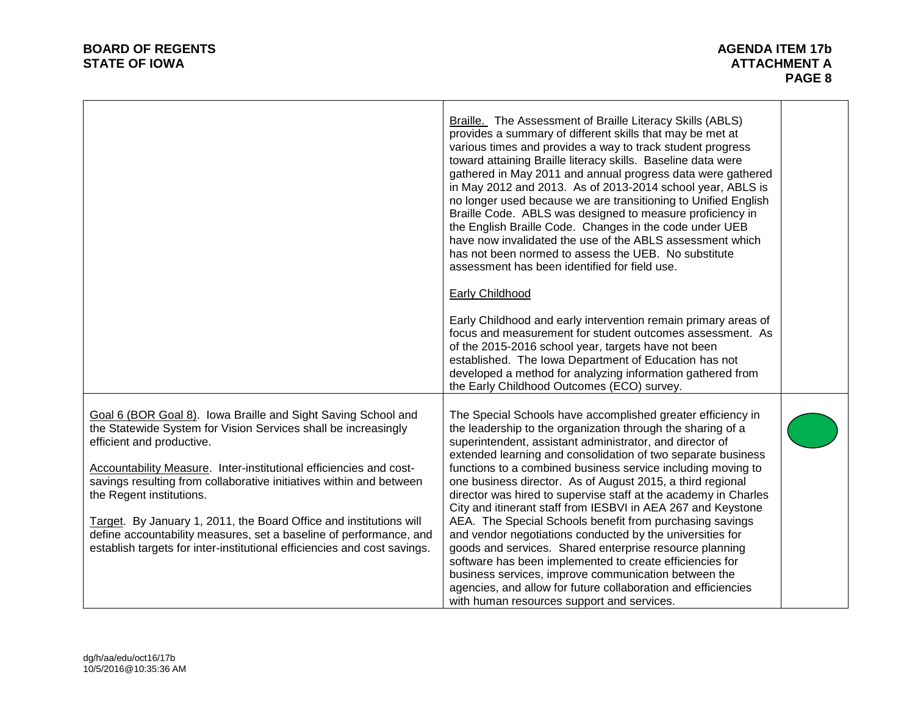|                                                                                                                                                                                                                                                                                                                                                                                                                                                                                   | Braille. The Assessment of Braille Literacy Skills (ABLS)<br>provides a summary of different skills that may be met at<br>various times and provides a way to track student progress<br>toward attaining Braille literacy skills. Baseline data were<br>gathered in May 2011 and annual progress data were gathered<br>in May 2012 and 2013. As of 2013-2014 school year, ABLS is<br>no longer used because we are transitioning to Unified English<br>Braille Code. ABLS was designed to measure proficiency in<br>the English Braille Code. Changes in the code under UEB<br>have now invalidated the use of the ABLS assessment which<br>has not been normed to assess the UEB. No substitute<br>assessment has been identified for field use. |  |
|-----------------------------------------------------------------------------------------------------------------------------------------------------------------------------------------------------------------------------------------------------------------------------------------------------------------------------------------------------------------------------------------------------------------------------------------------------------------------------------|---------------------------------------------------------------------------------------------------------------------------------------------------------------------------------------------------------------------------------------------------------------------------------------------------------------------------------------------------------------------------------------------------------------------------------------------------------------------------------------------------------------------------------------------------------------------------------------------------------------------------------------------------------------------------------------------------------------------------------------------------|--|
|                                                                                                                                                                                                                                                                                                                                                                                                                                                                                   | Early Childhood                                                                                                                                                                                                                                                                                                                                                                                                                                                                                                                                                                                                                                                                                                                                   |  |
|                                                                                                                                                                                                                                                                                                                                                                                                                                                                                   | Early Childhood and early intervention remain primary areas of<br>focus and measurement for student outcomes assessment. As<br>of the 2015-2016 school year, targets have not been<br>established. The Iowa Department of Education has not<br>developed a method for analyzing information gathered from<br>the Early Childhood Outcomes (ECO) survey.                                                                                                                                                                                                                                                                                                                                                                                           |  |
| Goal 6 (BOR Goal 8). Iowa Braille and Sight Saving School and<br>the Statewide System for Vision Services shall be increasingly<br>efficient and productive.<br>Accountability Measure. Inter-institutional efficiencies and cost-<br>savings resulting from collaborative initiatives within and between<br>the Regent institutions.<br>Target. By January 1, 2011, the Board Office and institutions will<br>define accountability measures, set a baseline of performance, and | The Special Schools have accomplished greater efficiency in<br>the leadership to the organization through the sharing of a<br>superintendent, assistant administrator, and director of<br>extended learning and consolidation of two separate business<br>functions to a combined business service including moving to<br>one business director. As of August 2015, a third regional<br>director was hired to supervise staff at the academy in Charles<br>City and itinerant staff from IESBVI in AEA 267 and Keystone<br>AEA. The Special Schools benefit from purchasing savings<br>and vendor negotiations conducted by the universities for                                                                                                  |  |
| establish targets for inter-institutional efficiencies and cost savings.                                                                                                                                                                                                                                                                                                                                                                                                          | goods and services. Shared enterprise resource planning<br>software has been implemented to create efficiencies for<br>business services, improve communication between the<br>agencies, and allow for future collaboration and efficiencies<br>with human resources support and services.                                                                                                                                                                                                                                                                                                                                                                                                                                                        |  |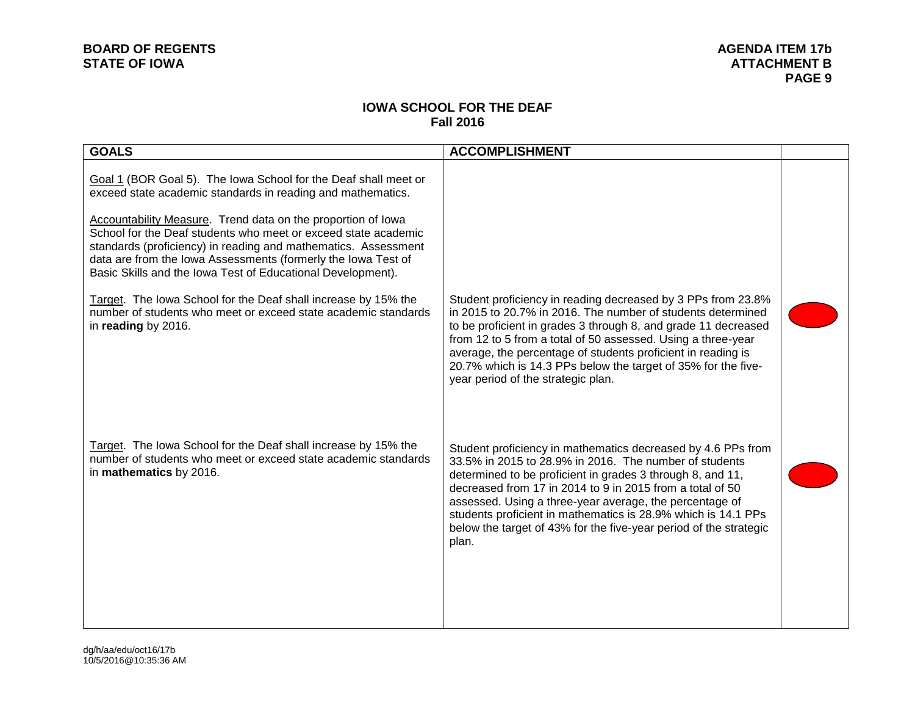### **IOWA SCHOOL FOR THE DEAF Fall 2016**

| <b>GOALS</b>                                                                                                                                                                                                                                                                                                                                                                                                                                                       | <b>ACCOMPLISHMENT</b>                                                                                                                                                                                                                                                                                                                                                                                                                                       |  |
|--------------------------------------------------------------------------------------------------------------------------------------------------------------------------------------------------------------------------------------------------------------------------------------------------------------------------------------------------------------------------------------------------------------------------------------------------------------------|-------------------------------------------------------------------------------------------------------------------------------------------------------------------------------------------------------------------------------------------------------------------------------------------------------------------------------------------------------------------------------------------------------------------------------------------------------------|--|
| Goal 1 (BOR Goal 5). The lowa School for the Deaf shall meet or<br>exceed state academic standards in reading and mathematics.<br>Accountability Measure. Trend data on the proportion of Iowa<br>School for the Deaf students who meet or exceed state academic<br>standards (proficiency) in reading and mathematics. Assessment<br>data are from the Iowa Assessments (formerly the Iowa Test of<br>Basic Skills and the Iowa Test of Educational Development). |                                                                                                                                                                                                                                                                                                                                                                                                                                                             |  |
| Target. The lowa School for the Deaf shall increase by 15% the<br>number of students who meet or exceed state academic standards<br>in reading by 2016.                                                                                                                                                                                                                                                                                                            | Student proficiency in reading decreased by 3 PPs from 23.8%<br>in 2015 to 20.7% in 2016. The number of students determined<br>to be proficient in grades 3 through 8, and grade 11 decreased<br>from 12 to 5 from a total of 50 assessed. Using a three-year<br>average, the percentage of students proficient in reading is<br>20.7% which is 14.3 PPs below the target of 35% for the five-<br>year period of the strategic plan.                        |  |
| Target. The lowa School for the Deaf shall increase by 15% the<br>number of students who meet or exceed state academic standards<br>in mathematics by 2016.                                                                                                                                                                                                                                                                                                        | Student proficiency in mathematics decreased by 4.6 PPs from<br>33.5% in 2015 to 28.9% in 2016. The number of students<br>determined to be proficient in grades 3 through 8, and 11,<br>decreased from 17 in 2014 to 9 in 2015 from a total of 50<br>assessed. Using a three-year average, the percentage of<br>students proficient in mathematics is 28.9% which is 14.1 PPs<br>below the target of 43% for the five-year period of the strategic<br>plan. |  |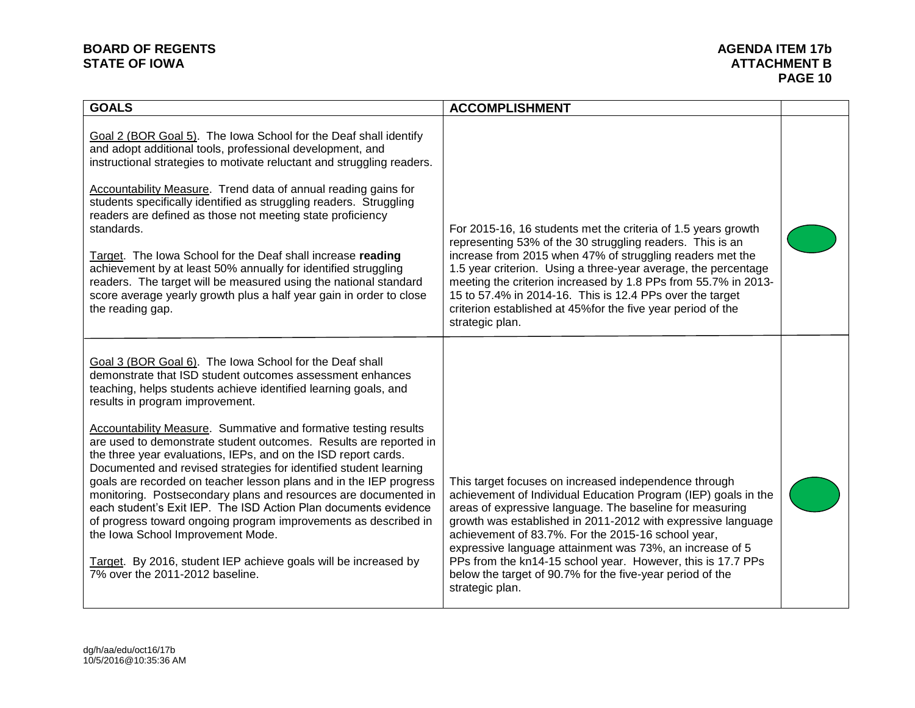# **BOARD OF REGENTS**<br> **BOARD OF REGENTS**<br> **BOARD OF IOWA**<br> **ATTACHMENT B**

| <b>GOALS</b>                                                                                                                                                                                                                                                                                                                                                                                                                                                                                                                                                                                                                                                                                                                                                                                                                                                                                                                        | <b>ACCOMPLISHMENT</b>                                                                                                                                                                                                                                                                                                                                                                                                                                                                                                |  |
|-------------------------------------------------------------------------------------------------------------------------------------------------------------------------------------------------------------------------------------------------------------------------------------------------------------------------------------------------------------------------------------------------------------------------------------------------------------------------------------------------------------------------------------------------------------------------------------------------------------------------------------------------------------------------------------------------------------------------------------------------------------------------------------------------------------------------------------------------------------------------------------------------------------------------------------|----------------------------------------------------------------------------------------------------------------------------------------------------------------------------------------------------------------------------------------------------------------------------------------------------------------------------------------------------------------------------------------------------------------------------------------------------------------------------------------------------------------------|--|
| Goal 2 (BOR Goal 5). The Iowa School for the Deaf shall identify<br>and adopt additional tools, professional development, and<br>instructional strategies to motivate reluctant and struggling readers.<br><b>Accountability Measure.</b> Trend data of annual reading gains for<br>students specifically identified as struggling readers. Struggling<br>readers are defined as those not meeting state proficiency<br>standards.<br>Target. The lowa School for the Deaf shall increase reading<br>achievement by at least 50% annually for identified struggling<br>readers. The target will be measured using the national standard<br>score average yearly growth plus a half year gain in order to close<br>the reading gap.                                                                                                                                                                                                  | For 2015-16, 16 students met the criteria of 1.5 years growth<br>representing 53% of the 30 struggling readers. This is an<br>increase from 2015 when 47% of struggling readers met the<br>1.5 year criterion. Using a three-year average, the percentage<br>meeting the criterion increased by 1.8 PPs from 55.7% in 2013-<br>15 to 57.4% in 2014-16. This is 12.4 PPs over the target<br>criterion established at 45% for the five year period of the<br>strategic plan.                                           |  |
| Goal 3 (BOR Goal 6). The Iowa School for the Deaf shall<br>demonstrate that ISD student outcomes assessment enhances<br>teaching, helps students achieve identified learning goals, and<br>results in program improvement.<br>Accountability Measure. Summative and formative testing results<br>are used to demonstrate student outcomes. Results are reported in<br>the three year evaluations, IEPs, and on the ISD report cards.<br>Documented and revised strategies for identified student learning<br>goals are recorded on teacher lesson plans and in the IEP progress<br>monitoring. Postsecondary plans and resources are documented in<br>each student's Exit IEP. The ISD Action Plan documents evidence<br>of progress toward ongoing program improvements as described in<br>the Iowa School Improvement Mode.<br>Target. By 2016, student IEP achieve goals will be increased by<br>7% over the 2011-2012 baseline. | This target focuses on increased independence through<br>achievement of Individual Education Program (IEP) goals in the<br>areas of expressive language. The baseline for measuring<br>growth was established in 2011-2012 with expressive language<br>achievement of 83.7%. For the 2015-16 school year,<br>expressive language attainment was 73%, an increase of 5<br>PPs from the kn14-15 school year. However, this is 17.7 PPs<br>below the target of 90.7% for the five-year period of the<br>strategic plan. |  |